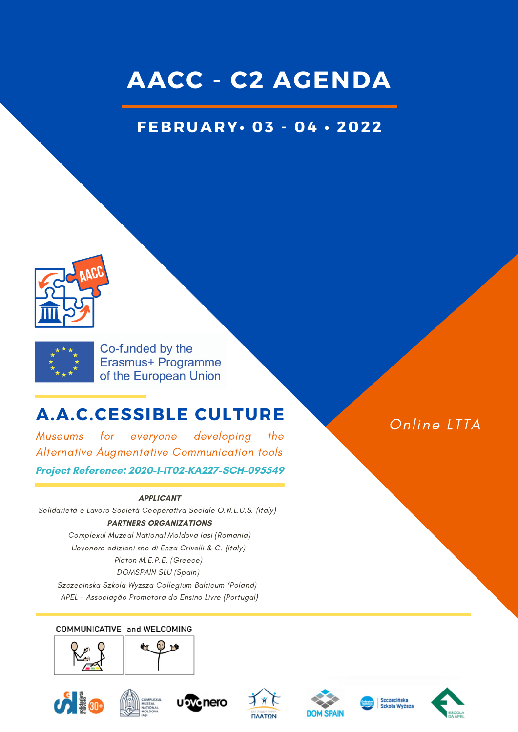## **AACC - C2 AGENDA**

### **FEBRUARY• 03 - 04 • 2022**





Co-funded by the Erasmus+ Programme of the European Union

### **A.A.C.CESSIBLE CULTURE**

Museums for everyone developing the Alternative Augmentative Communication tools

#### **Project Reference: 2020-1-IT02-KA227-SCH-095549**

#### **APPLICANT**

Solidarietà e Lavoro Società Cooperativa Sociale O.N.L.U.S. (Italy) **PARTNERS ORGANIZATIONS**

Complexul Muzeal National Moldova Iasi (Romania) Uovonero edizioni snc di Enza Crivelli & C. (Italy) Platon M.E.P.E. (Greece) DOMSPAIN SLU (Spain) Szczecinska Szkola Wyzsza Collegium Balticum (Poland)

APEL - Associação Promotora do Ensino Livre (Portugal)

#### COMMUNICATIVE and WELCOMING



















Online LTTA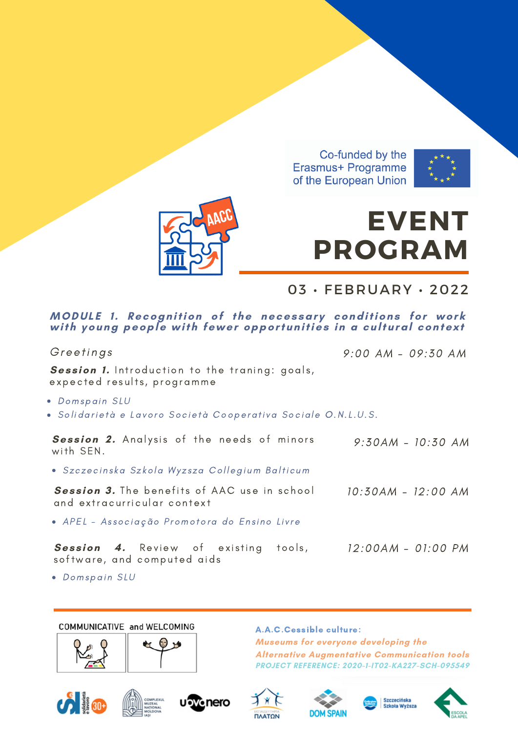





# **EVENT PROGRAM**

03 · FEBRUARY · 2022

## MODULE 1. Recognition of the necessary conditions for work<br>with young people with fewer opportunities in a cultural context

Greetings  $9:00$  AM - 09:30 AM Session 1. Introduction to the traning: goals, expected results, programme · Domspain SLU · Solidarietà e Lavoro Società Cooperativa Sociale O.N.L.U.S. Session 2. Analysis of the needs of minors  $9:30AM - 10:30 AM$ with SEN. · Szczecinska Szkola Wyzsza Collegium Balticum Session 3. The benefits of AAC use in school 10:30AM - 12:00 AM and extracurricular context · APEL - Associação Promotora do Ensino Livre Session 4. Review of existing tools,  $12:00AM - 01:00 PM$ software, and computed aids

· Domspain SLU

#### COMMUNICATIVE and WELCOMING



A.A.C.Cessible culture: Museums for everyone developing the **Alternative Augmentative Communication tools PROJECT REFERENCE: 2020-1-IT02-KA227-SCH-095549**